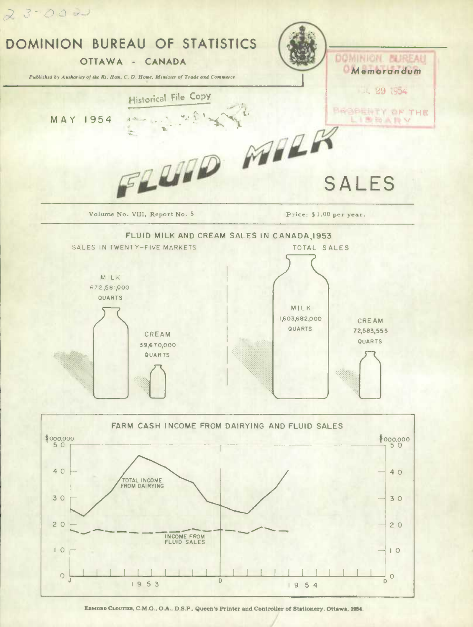

EDMOND CLOUTIER, C.M.G., O.A., D.S.P., Queen's Printer and Controller of Stationery, Ottawa, 1954.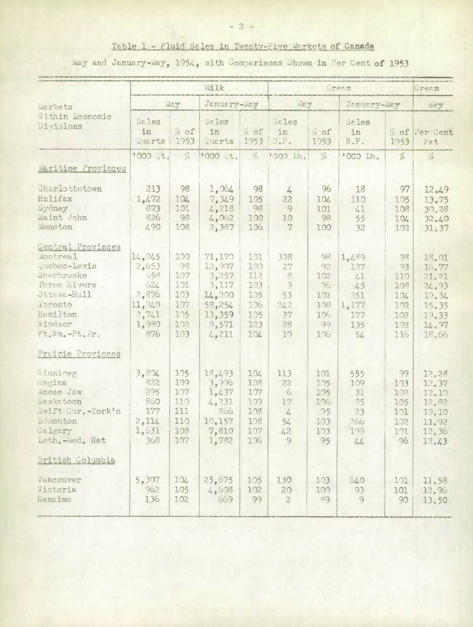# Table 1 - Fluid Sales in Twenty-Five Markets of Canada

May and January-May, 1954, with Comparisons Shown in Per Cent of 1953

|                                                                                                                                                      | Milk                                                                      |                                                            |                                                                                    |                                                             | Cream                                                           |                                                         |                                                              |                                                                       | Cream                                                                         |
|------------------------------------------------------------------------------------------------------------------------------------------------------|---------------------------------------------------------------------------|------------------------------------------------------------|------------------------------------------------------------------------------------|-------------------------------------------------------------|-----------------------------------------------------------------|---------------------------------------------------------|--------------------------------------------------------------|-----------------------------------------------------------------------|-------------------------------------------------------------------------------|
| markets                                                                                                                                              | May                                                                       |                                                            | January-May                                                                        |                                                             | WEY                                                             |                                                         | January-Way                                                  |                                                                       | Wiey                                                                          |
| Within Economic<br>Divisions                                                                                                                         | <b>Sales</b><br>in<br><b>Quarts</b>                                       | % of<br>1953                                               | <b>Sales</b><br>in<br>tuarts                                                       | % of<br>1953                                                | $55$ les<br>in<br>$B \cdot F \cdot$                             | % of<br>1953                                            | Sales<br>in<br>B.F.                                          | 1953                                                                  | % of Per Cent<br>Fat                                                          |
|                                                                                                                                                      | '000 .t.                                                                  | $\frac{c\pi}{\sqrt{3}}$                                    | 1000 t.                                                                            | $\frac{\partial f}{\partial x^2}$                           | '000 Lb.                                                        | $\frac{a}{b}$                                           | 'OCO Lb.                                                     | $\frac{\sigma}{\rho}$                                                 | $\frac{c}{i^2}$                                                               |
| maritime Provinces                                                                                                                                   |                                                                           |                                                            |                                                                                    |                                                             |                                                                 |                                                         |                                                              |                                                                       |                                                                               |
| Charlottetown<br>Halifax<br>Sydney<br>Saint John<br>Moncton                                                                                          | 213<br>1,472<br>873<br>826<br>4.90                                        | 98<br>104<br>101<br>98<br>108                              | 1,064<br>7,349<br>4,218<br>4,062<br>2,387                                          | 98<br>105<br>98<br>100<br>106                               | $\frac{1}{4}$<br>22<br>9<br>10<br>$7\phantom{.0}$               | 96<br>104<br>101<br>98<br>100                           | 18<br>110<br>41<br>55<br>32                                  | 97<br>105<br>108<br>104<br>102                                        | 12,49<br>13.75<br>30.28<br>32.40<br>31.37                                     |
| Central Provinces<br>Montreal<br>quebec-Levis<br>Sherbrooke<br>Three <i>nivers</i><br>Ottawa-Hull<br>Toronto<br>Hamilton<br>Windsor<br>Ft.Wm.-Pt.Ar. | 14,045<br>2,653<br>658<br>624<br>2,876<br>11,940<br>2,741<br>1,980<br>876 | 100<br>98<br>107<br>101<br>103<br>107<br>105<br>102<br>103 | 71,170<br>12,907<br>3,257<br>3,117<br>14,200<br>58,254<br>13,359<br>9,571<br>4,211 | 101<br>100<br>112<br>103<br>105<br>106<br>105<br>103<br>104 | 308<br>27<br>8<br>$\overline{z}$<br>53<br>242<br>37<br>28<br>10 | 98<br>92<br>102<br>96<br>102<br>108<br>106<br>99<br>106 | 1,489<br>127<br>41<br>45<br>251<br>1,177<br>177<br>135<br>54 | 98<br>93<br>110<br>108<br>104<br>1 <sub>02</sub><br>102<br>102<br>116 | 18.01<br>16.77<br>21.21<br>24.93<br>19.34<br>15.35<br>19.33<br>14.97<br>18.66 |
| Prairie Provinces                                                                                                                                    |                                                                           |                                                            |                                                                                    |                                                             |                                                                 |                                                         |                                                              |                                                                       |                                                                               |
| Winnipeg<br>Regina<br>moose Jaw<br>Saskatoon<br>Swift Cur.-York'n<br>Edmonton<br>Calgary<br>Leth. - med. Hat                                         | 3,804<br>822<br>295<br>860<br>177<br>2,114<br>1,631<br>368                | 105<br>109<br>107<br>110<br>111<br>110<br>108<br>107       | 18,493<br>3,996<br>1,437<br>4,231<br>866<br>10,157<br>7,810<br>1,782               | 104<br>108<br>107<br>109<br>108<br>108<br>107<br>106        | 113<br>55<br>6<br>17<br>$\frac{1}{4}$<br>54<br>42<br>9          | 101<br>105<br>105<br>106<br>95<br>103<br>103<br>95      | 555<br>109<br>31<br>85<br>23<br>266<br>199<br>44             | 99<br>103<br>102<br>105<br>101<br>102<br>101<br>96                    | 12,28<br>12.37<br>12.10<br>12.82<br>19.10<br>11.92<br>12.36<br>12.43          |
| British Columbia                                                                                                                                     |                                                                           |                                                            |                                                                                    |                                                             |                                                                 |                                                         |                                                              |                                                                       |                                                                               |
| Vancouver<br>Victoria<br>Nanaimo                                                                                                                     | 5,307<br>962<br>136                                                       | 104<br>105<br>102                                          | 25,675<br>4,608<br>669                                                             | 105<br>102<br>99                                            | 130<br>20<br>$\overline{c}$                                     | 103<br>100<br>89                                        | 640<br>93<br>9                                               | 101<br>101<br>90                                                      | 11.58<br>12.96<br>13.50                                                       |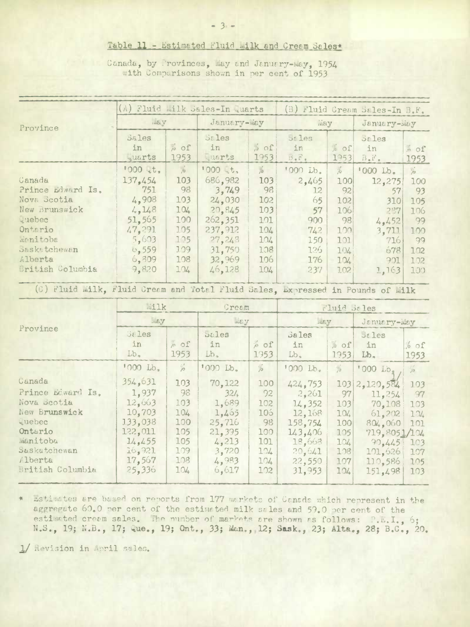Table 11 - Estimated Fluid Wilk and Cream Sales\*

Canada, by Provinces, May and January-May, 1954 with Comparisons shown in per cent of 1953

|                                                                                | (A) Fluid milk Sales-In quarts |                   |             |                  | (B) Fluid Cream Sales-In B.F. |                |                       |                      |
|--------------------------------------------------------------------------------|--------------------------------|-------------------|-------------|------------------|-------------------------------|----------------|-----------------------|----------------------|
| Province                                                                       | may                            |                   | January-May |                  | waw                           |                | January-May           |                      |
|                                                                                | Sales                          |                   | Sales       |                  | <b>Sales</b>                  |                | $5t$ les              |                      |
|                                                                                | in                             | $\phi$ of         | in          | 20 <sub>o</sub>  | in                            | tof            | in                    | % of                 |
|                                                                                | <i>duarts</i>                  | 1953              | .uarts      | 1953             | $B \bullet F \bullet$         | 1953           | $B \bullet F \bullet$ | 1953                 |
|                                                                                | $1000$ it.                     | $\overline{10}$   | 1000 しt,    | $\frac{1}{10}$   | '000 Lb.                      | $\frac{1}{10}$ | '000 Lb.              | $\frac{1}{\sqrt{2}}$ |
| Canada                                                                         | 137,454                        | 103               | 686.982     | 103              | 2.465                         | 100            | 12,275                | 100                  |
| Prince Edward Is.                                                              | 751                            | 98                | 3,749       | 98               | 12                            | 92             | 57                    | 93                   |
| Nova Scotia                                                                    | 4,908                          | 103               | 24,030      | 102 <sub>1</sub> | 65                            | 102            | 310                   | 105                  |
| New Brunswick                                                                  | 4,148                          | 104               | 20,845      | 103              | 57                            | 106            | 237                   | 106                  |
| guebec                                                                         | 51,565                         | 100               | 262,351     | 101              | 900                           | 98             | 4.452                 | 99                   |
| Ontario                                                                        | 47,291                         | 1.05              | 237, 912    | 104              | 742                           | 100            | 3,711                 | 100                  |
| Manitoba                                                                       | 5,603                          | 105               | 27,243      | 104              | 150                           | 101            | 716                   | 99                   |
| <b>Saskatchewan</b>                                                            | 0.559                          | 1.09 <sub>1</sub> | 31,750      | 108              | 126                           | 104            | 678                   | 102                  |
| Alberta                                                                        | 6,809                          | 108               | 32,969      | 106              | 176                           | 104            | 901                   | 102                  |
| British Columbia                                                               | 9,820                          | 104               | 46,128      | 104              | 237                           | 102            | 1,163                 | 100                  |
| (C) Fluid Milk, Fluid Cream and Total Fluid Sales, Expressed in Pounds of Milk |                                |                   |             |                  |                               |                |                       |                      |
|                                                                                | milk<br>Cream                  |                   |             | Fluid Sales      |                               |                |                       |                      |

|                   | and the state of the<br>$E_{\text{int}}$ |                      | $mE_y$                             |                | L'INTE DE TER               |                       |                          |                         |  |
|-------------------|------------------------------------------|----------------------|------------------------------------|----------------|-----------------------------|-----------------------|--------------------------|-------------------------|--|
|                   |                                          |                      |                                    |                | HEY                         |                       | January-May              |                         |  |
| Province          | Sales<br>in<br>$Lb_{\tau}$               | n of<br>1953         | $J\&L$ es<br>in<br>Lb <sub>2</sub> | % of<br>1953   | Sales<br>in<br>$Lb_{\circ}$ | $ o \circ f $<br>1953 | $55$ les<br>in<br>$Lb$ . | 10 <sub>o</sub><br>1953 |  |
|                   | $1000$ $Lb_3$                            | $\frac{1}{\sqrt{2}}$ | '000 Lb.                           | $\frac{1}{10}$ | '000 Lb.                    | $\frac{1}{10}$        | '000 Lb.                 | $\frac{1}{2}$           |  |
| Canada            | 354,631                                  | 103                  | 70,122                             | 100            | 424, 753                    | 103                   | 2,120,584                | 103                     |  |
| Prince Edward Is. | 1,937                                    | 98                   | 321                                | 92             | 2,261                       | 97                    | 11,254                   | 97                      |  |
| Nova Scotia       | 12,663                                   | 103                  | 1,689                              | 102            | 14,352                      | 103                   | 70,108                   | 103                     |  |
| New Brunswick     | 10,703                                   | 104                  | 1,405                              | 106            | 12.168                      | 104                   | 61,202                   | 104                     |  |
| Quebec            | 133,038                                  | 100                  | 25,716                             | 98             | 158,754                     | 100                   | 804.060                  | 101                     |  |
| Ontario           | 122,011                                  | 105                  | 21,395                             | 100            | 143,406                     | 105                   | 719,8051/104             |                         |  |
| <b>MEINItoba</b>  | 14, 455                                  | 105                  | 4,213                              | 101            | 18,663                      | 104                   | 90.445:                  | 103                     |  |
| Saskatchewan      | 16,921                                   | 109                  | 3,720                              | 104            | 20,641                      | 108                   | 101.626                  | 107                     |  |
| Alberta           | 17,567                                   | 108                  | 4,983                              | 104            | 22,550                      | 107                   | 110.586                  | 105                     |  |
| British Columbia  | 25,336                                   | 104                  | 6,617                              | 102            | 31, 953                     | 104                   | 151,498                  | 103                     |  |

nstimates are based on reports from 177 markets of Canada which represent in the aggregate 60.0 per cent of the estimated milk sales and 59.0 per cent of the estimated cream sales. The number of markets are shown as follows: P.E.I., 6; N.S., 19; N.B., 17; Que., 19; Ont., 33; Man., 12; Sask., 23; Alta., 28; B.C., 20.

1/ Revision in April sales.